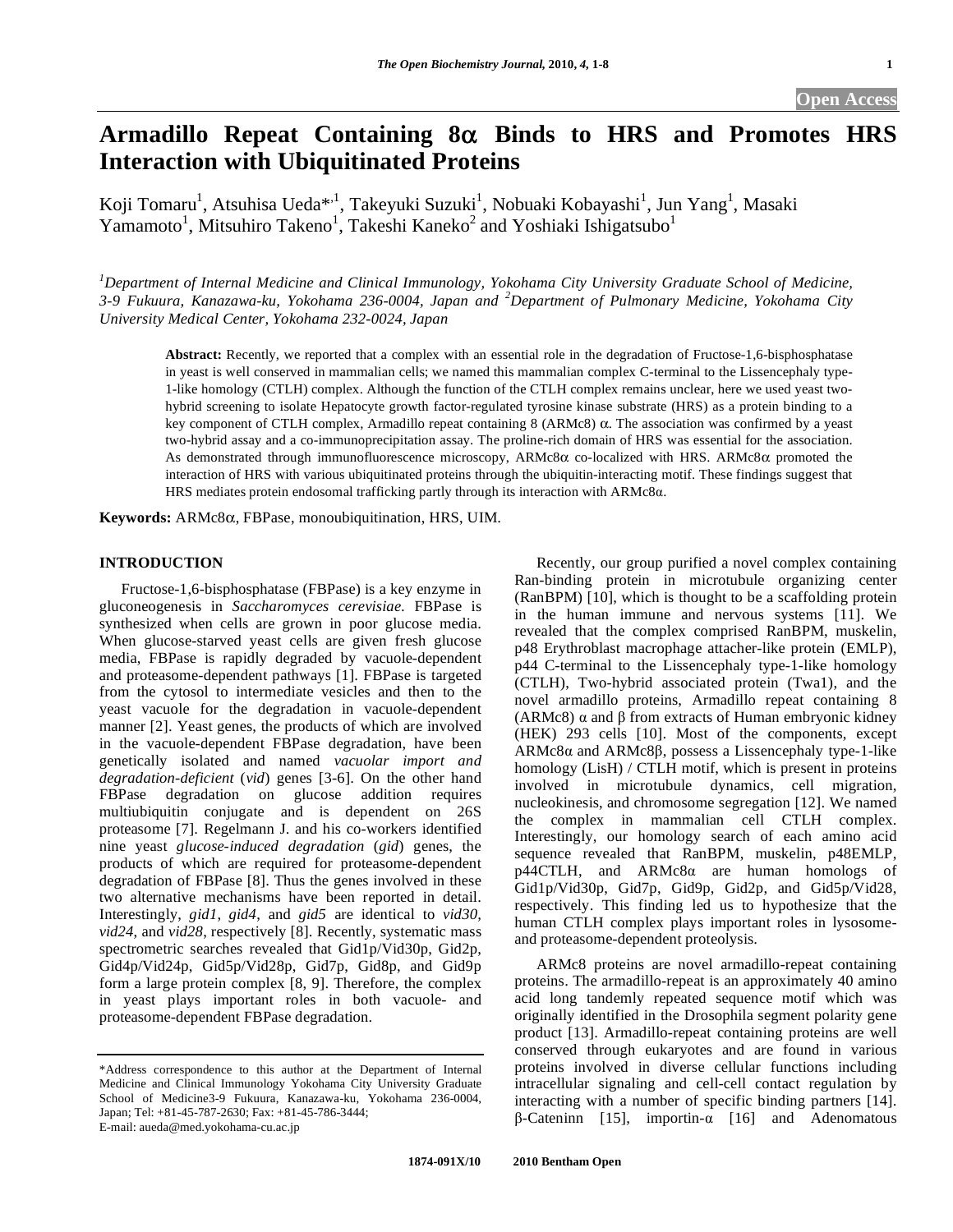# Armadillo Repeat Containing 8 $\alpha$  Binds to HRS and Promotes HRS **Interaction with Ubiquitinated Proteins**

Koji Tomaru<sup>1</sup>, Atsuhisa Ueda\*<sup>,1</sup>, Takeyuki Suzuki<sup>1</sup>, Nobuaki Kobayashi<sup>1</sup>, Jun Yang<sup>1</sup>, Masaki Yamamoto<sup>1</sup>, Mitsuhiro Takeno<sup>1</sup>, Takeshi Kaneko<sup>2</sup> and Yoshiaki Ishigatsubo<sup>1</sup>

<sup>1</sup>Department of Internal Medicine and Clinical Immunology, Yokohama City University Graduate School of Medicine, *3-9 Fukuura, Kanazawa-ku, Yokohama 236-0004, Japan and <sup>2</sup> Department of Pulmonary Medicine, Yokohama City University Medical Center, Yokohama 232-0024, Japan* 

**Abstract:** Recently, we reported that a complex with an essential role in the degradation of Fructose-1,6-bisphosphatase in yeast is well conserved in mammalian cells; we named this mammalian complex C-terminal to the Lissencephaly type-1-like homology (CTLH) complex. Although the function of the CTLH complex remains unclear, here we used yeast twohybrid screening to isolate Hepatocyte growth factor-regulated tyrosine kinase substrate (HRS) as a protein binding to a key component of CTLH complex, Armadillo repeat containing  $8 \text{ (ARMc8)} \alpha$ . The association was confirmed by a yeast two-hybrid assay and a co-immunoprecipitation assay. The proline-rich domain of HRS was essential for the association. As demonstrated through immunofluorescence microscopy, ARMc8 $\alpha$  co-localized with HRS. ARMc8 $\alpha$  promoted the interaction of HRS with various ubiquitinated proteins through the ubiquitin-interacting motif. These findings suggest that HRS mediates protein endosomal trafficking partly through its interaction with ARMc8 $\alpha$ .

**Keywords:** ARMc8α, FBPase, monoubiquitination, HRS, UIM.

# **INTRODUCTION**

 Fructose-1,6-bisphosphatase (FBPase) is a key enzyme in gluconeogenesis in *Saccharomyces cerevisiae.* FBPase is synthesized when cells are grown in poor glucose media. When glucose-starved yeast cells are given fresh glucose media, FBPase is rapidly degraded by vacuole-dependent and proteasome-dependent pathways [1]. FBPase is targeted from the cytosol to intermediate vesicles and then to the yeast vacuole for the degradation in vacuole-dependent manner [2]. Yeast genes, the products of which are involved in the vacuole-dependent FBPase degradation, have been genetically isolated and named *vacuolar import and degradation-deficient* (*vid*) genes [3-6]. On the other hand FBPase degradation on glucose addition requires multiubiquitin conjugate and is dependent on 26S proteasome [7]. Regelmann J. and his co-workers identified nine yeast *glucose-induced degradation* (*gid*) genes, the products of which are required for proteasome-dependent degradation of FBPase [8]. Thus the genes involved in these two alternative mechanisms have been reported in detail. Interestingly, *gid1*, *gid4*, and *gid5* are identical to *vid30, vid24*, and *vid28*, respectively [8]. Recently, systematic mass spectrometric searches revealed that Gid1p/Vid30p, Gid2p, Gid4p/Vid24p, Gid5p/Vid28p, Gid7p, Gid8p, and Gid9p form a large protein complex [8, 9]. Therefore, the complex in yeast plays important roles in both vacuole- and proteasome-dependent FBPase degradation.

\*Address correspondence to this author at the Department of Internal Medicine and Clinical Immunology Yokohama City University Graduate School of Medicine3-9 Fukuura, Kanazawa-ku, Yokohama 236-0004, Japan; Tel: +81-45-787-2630; Fax: +81-45-786-3444; E-mail: aueda@med.yokohama-cu.ac.jp

 Recently, our group purified a novel complex containing Ran-binding protein in microtubule organizing center (RanBPM) [10], which is thought to be a scaffolding protein in the human immune and nervous systems [11]. We revealed that the complex comprised RanBPM, muskelin, p48 Erythroblast macrophage attacher-like protein (EMLP), p44 C-terminal to the Lissencephaly type-1-like homology (CTLH), Two-hybrid associated protein (Twa1), and the novel armadillo proteins, Armadillo repeat containing 8 (ARMc8)  $\alpha$  and  $\beta$  from extracts of Human embryonic kidney (HEK) 293 cells [10]. Most of the components, except  $ARMc8\alpha$  and  $ARMc8\beta$ , possess a Lissencephaly type-1-like homology (LisH) / CTLH motif, which is present in proteins involved in microtubule dynamics, cell migration, nucleokinesis, and chromosome segregation [12]. We named the complex in mammalian cell CTLH complex. Interestingly, our homology search of each amino acid sequence revealed that RanBPM, muskelin, p48EMLP,  $p44CTLH$ , and ARMc8 $\alpha$  are human homologs of Gid1p/Vid30p, Gid7p, Gid9p, Gid2p, and Gid5p/Vid28, respectively. This finding led us to hypothesize that the human CTLH complex plays important roles in lysosomeand proteasome-dependent proteolysis.

 ARMc8 proteins are novel armadillo-repeat containing proteins. The armadillo-repeat is an approximately 40 amino acid long tandemly repeated sequence motif which was originally identified in the Drosophila segment polarity gene product [13]. Armadillo-repeat containing proteins are well conserved through eukaryotes and are found in various proteins involved in diverse cellular functions including intracellular signaling and cell-cell contact regulation by interacting with a number of specific binding partners [14].  $\beta$ -Cateninn [15], importin- $\alpha$  [16] and Adenomatous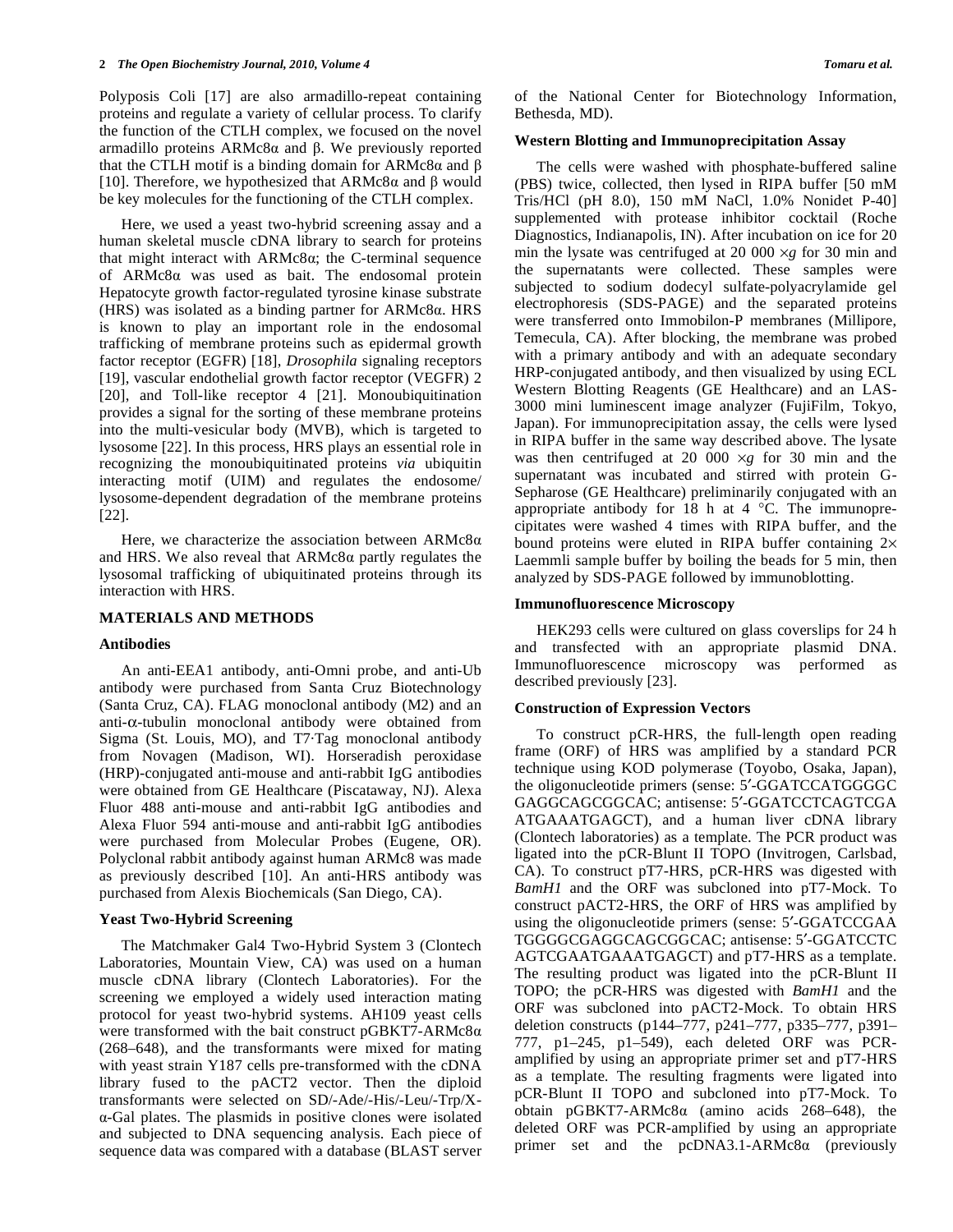Polyposis Coli [17] are also armadillo-repeat containing proteins and regulate a variety of cellular process. To clarify the function of the CTLH complex, we focused on the novel armadillo proteins  $ARMc8\alpha$  and  $\beta$ . We previously reported that the CTLH motif is a binding domain for ARMc8 $\alpha$  and  $\beta$ [10]. Therefore, we hypothesized that  $ARMc8\alpha$  and  $\beta$  would be key molecules for the functioning of the CTLH complex.

 Here, we used a yeast two-hybrid screening assay and a human skeletal muscle cDNA library to search for proteins that might interact with  $ARMc8\alpha$ ; the C-terminal sequence of  $ARMc8\alpha$  was used as bait. The endosomal protein Hepatocyte growth factor-regulated tyrosine kinase substrate (HRS) was isolated as a binding partner for  $ARMc8\alpha$ . HRS is known to play an important role in the endosomal trafficking of membrane proteins such as epidermal growth factor receptor (EGFR) [18], *Drosophila* signaling receptors [19], vascular endothelial growth factor receptor (VEGFR) 2 [20], and Toll-like receptor 4 [21]. Monoubiquitination provides a signal for the sorting of these membrane proteins into the multi-vesicular body (MVB), which is targeted to lysosome [22]. In this process, HRS plays an essential role in recognizing the monoubiquitinated proteins *via* ubiquitin interacting motif (UIM) and regulates the endosome/ lysosome-dependent degradation of the membrane proteins [22].

Here, we characterize the association between  $ARMc8\alpha$ and HRS. We also reveal that  $ARMc8\alpha$  partly regulates the lysosomal trafficking of ubiquitinated proteins through its interaction with HRS.

# **MATERIALS AND METHODS**

## **Antibodies**

 An anti-EEA1 antibody, anti-Omni probe, and anti-Ub antibody were purchased from Santa Cruz Biotechnology (Santa Cruz, CA). FLAG monoclonal antibody (M2) and an  $anti-\alpha$ -tubulin monoclonal antibody were obtained from Sigma (St. Louis, MO), and T7·Tag monoclonal antibody from Novagen (Madison, WI). Horseradish peroxidase (HRP)-conjugated anti-mouse and anti-rabbit IgG antibodies were obtained from GE Healthcare (Piscataway, NJ). Alexa Fluor 488 anti-mouse and anti-rabbit IgG antibodies and Alexa Fluor 594 anti-mouse and anti-rabbit IgG antibodies were purchased from Molecular Probes (Eugene, OR). Polyclonal rabbit antibody against human ARMc8 was made as previously described [10]. An anti-HRS antibody was purchased from Alexis Biochemicals (San Diego, CA).

## **Yeast Two-Hybrid Screening**

 The Matchmaker Gal4 Two-Hybrid System 3 (Clontech Laboratories, Mountain View, CA) was used on a human muscle cDNA library (Clontech Laboratories). For the screening we employed a widely used interaction mating protocol for yeast two-hybrid systems. AH109 yeast cells were transformed with the bait construct  $pGBKT7-ARMc8\alpha$ (268–648), and the transformants were mixed for mating with yeast strain Y187 cells pre-transformed with the cDNA library fused to the pACT2 vector. Then the diploid transformants were selected on SD/-Ade/-His/-Leu/-Trp/X- -Gal plates. The plasmids in positive clones were isolated and subjected to DNA sequencing analysis. Each piece of sequence data was compared with a database (BLAST server

of the National Center for Biotechnology Information, Bethesda, MD).

## **Western Blotting and Immunoprecipitation Assay**

 The cells were washed with phosphate-buffered saline (PBS) twice, collected, then lysed in RIPA buffer [50 mM Tris/HCl (pH 8.0), 150 mM NaCl, 1.0% Nonidet P-40] supplemented with protease inhibitor cocktail (Roche Diagnostics, Indianapolis, IN). After incubation on ice for 20 min the lysate was centrifuged at 20 000  $\times$ g for 30 min and the supernatants were collected. These samples were subjected to sodium dodecyl sulfate-polyacrylamide gel electrophoresis (SDS-PAGE) and the separated proteins were transferred onto Immobilon-P membranes (Millipore, Temecula, CA). After blocking, the membrane was probed with a primary antibody and with an adequate secondary HRP-conjugated antibody, and then visualized by using ECL Western Blotting Reagents (GE Healthcare) and an LAS-3000 mini luminescent image analyzer (FujiFilm, Tokyo, Japan). For immunoprecipitation assay, the cells were lysed in RIPA buffer in the same way described above. The lysate was then centrifuged at 20 000  $\times g$  for 30 min and the supernatant was incubated and stirred with protein G-Sepharose (GE Healthcare) preliminarily conjugated with an appropriate antibody for 18 h at 4 °C. The immunoprecipitates were washed 4 times with RIPA buffer, and the bound proteins were eluted in RIPA buffer containing  $2 \times$ Laemmli sample buffer by boiling the beads for 5 min, then analyzed by SDS-PAGE followed by immunoblotting.

## **Immunofluorescence Microscopy**

 HEK293 cells were cultured on glass coverslips for 24 h and transfected with an appropriate plasmid DNA. Immunofluorescence microscopy was performed as described previously [23].

# **Construction of Expression Vectors**

 To construct pCR-HRS, the full-length open reading frame (ORF) of HRS was amplified by a standard PCR technique using KOD polymerase (Toyobo, Osaka, Japan), the oligonucleotide primers (sense: 5'-GGATCCATGGGGC GAGGCAGCGGCAC; antisense: 5'-GGATCCTCAGTCGA ATGAAATGAGCT), and a human liver cDNA library (Clontech laboratories) as a template. The PCR product was ligated into the pCR-Blunt II TOPO (Invitrogen, Carlsbad, CA). To construct pT7-HRS, pCR-HRS was digested with *BamH1* and the ORF was subcloned into pT7-Mock. To construct pACT2-HRS, the ORF of HRS was amplified by using the oligonucleotide primers (sense: 5'-GGATCCGAA TGGGGCGAGGCAGCGGCAC; antisense: 5'-GGATCCTC AGTCGAATGAAATGAGCT) and pT7-HRS as a template. The resulting product was ligated into the pCR-Blunt II TOPO; the pCR-HRS was digested with *BamH1* and the ORF was subcloned into pACT2-Mock. To obtain HRS deletion constructs (p144–777, p241–777, p335–777, p391– 777, p1–245, p1–549), each deleted ORF was PCRamplified by using an appropriate primer set and pT7-HRS as a template. The resulting fragments were ligated into pCR-Blunt II TOPO and subcloned into pT7-Mock. To obtain pGBKT7-ARMc8 $\alpha$  (amino acids 268–648), the deleted ORF was PCR-amplified by using an appropriate primer set and the  $pcDNA3.1-ARMc8\alpha$  (previously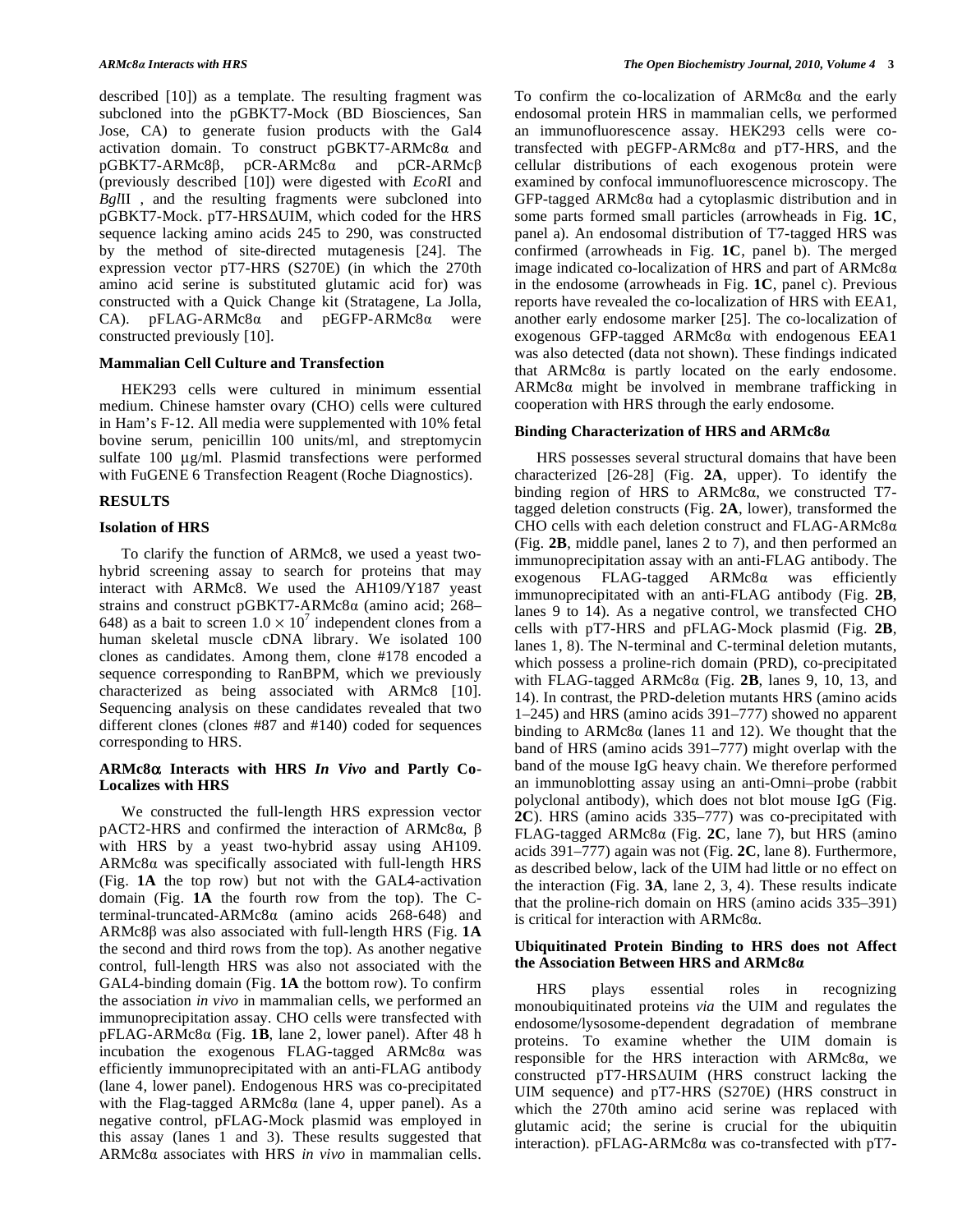described [10]) as a template. The resulting fragment was subcloned into the pGBKT7-Mock (BD Biosciences, San Jose, CA) to generate fusion products with the Gal4 activation domain. To construct  $pGBKT7-ARMc8\alpha$  and  $pGBKT7-ARMc8\beta$ ,  $pCR-ARMc8\alpha$  and  $pCR-ARMc\beta$ (previously described [10]) were digested with *EcoR*I and *Bgl*II , and the resulting fragments were subcloned into pGBKT7-Mock. pT7-HRS $\Delta$ UIM, which coded for the HRS sequence lacking amino acids 245 to 290, was constructed by the method of site-directed mutagenesis [24]. The expression vector pT7-HRS (S270E) (in which the 270th amino acid serine is substituted glutamic acid for) was constructed with a Quick Change kit (Stratagene, La Jolla, CA).  $pFLAG-ARMc8\alpha$  and  $pEGFP-ARMc8\alpha$  were constructed previously [10].

## **Mammalian Cell Culture and Transfection**

 HEK293 cells were cultured in minimum essential medium. Chinese hamster ovary (CHO) cells were cultured in Ham's F-12. All media were supplemented with 10% fetal bovine serum, penicillin 100 units/ml, and streptomycin sulfate 100 μg/ml. Plasmid transfections were performed with FuGENE 6 Transfection Reagent (Roche Diagnostics).

# **RESULTS**

## **Isolation of HRS**

 To clarify the function of ARMc8, we used a yeast twohybrid screening assay to search for proteins that may interact with ARMc8. We used the AH109/Y187 yeast strains and construct pGBKT7-ARMc8a (amino acid; 268– 648) as a bait to screen  $1.0 \times 10^7$  independent clones from a human skeletal muscle cDNA library. We isolated 100 clones as candidates. Among them, clone #178 encoded a sequence corresponding to RanBPM, which we previously characterized as being associated with ARMc8 [10]. Sequencing analysis on these candidates revealed that two different clones (clones #87 and #140) coded for sequences corresponding to HRS.

# **ARMc8 Interacts with HRS** *In Vivo* **and Partly Co-Localizes with HRS**

 We constructed the full-length HRS expression vector  $pACT2-HRS$  and confirmed the interaction of ARMc8 $\alpha$ ,  $\beta$ with HRS by a yeast two-hybrid assay using AH109.  $ARMc8\alpha$  was specifically associated with full-length HRS (Fig. **1A** the top row) but not with the GAL4-activation domain (Fig. **1A** the fourth row from the top). The Cterminal-truncated-ARMc8 $\alpha$  (amino acids 268-648) and  $ARMc8\beta$  was also associated with full-length HRS (Fig.  $1\text{A}$ ) the second and third rows from the top). As another negative control, full-length HRS was also not associated with the GAL4-binding domain (Fig. **1A** the bottom row). To confirm the association *in vivo* in mammalian cells, we performed an immunoprecipitation assay. CHO cells were transfected with  $pFLAG-ARMc8\alpha$  (Fig. 1B, lane 2, lower panel). After 48 h incubation the exogenous FLAG-tagged  $ARMc8\alpha$  was efficiently immunoprecipitated with an anti-FLAG antibody (lane 4, lower panel). Endogenous HRS was co-precipitated with the Flag-tagged ARMc8 $\alpha$  (lane 4, upper panel). As a negative control, pFLAG-Mock plasmid was employed in this assay (lanes 1 and 3). These results suggested that ARMc8α associates with HRS *in vivo* in mammalian cells.

To confirm the co-localization of  $ARMc8\alpha$  and the early endosomal protein HRS in mammalian cells, we performed an immunofluorescence assay. HEK293 cells were cotransfected with  $pEGFP-ARMc8\alpha$  and  $pT7-HRS$ , and the cellular distributions of each exogenous protein were examined by confocal immunofluorescence microscopy. The  $GFP$ -tagged ARMc8 $\alpha$  had a cytoplasmic distribution and in some parts formed small particles (arrowheads in Fig. **1C**, panel a). An endosomal distribution of T7-tagged HRS was confirmed (arrowheads in Fig. **1C**, panel b). The merged image indicated co-localization of HRS and part of  $ARMc8\alpha$ in the endosome (arrowheads in Fig. **1C**, panel c). Previous reports have revealed the co-localization of HRS with EEA1, another early endosome marker [25]. The co-localization of exogenous GFP-tagged  $ARMc8\alpha$  with endogenous EEA1 was also detected (data not shown). These findings indicated that  $ARMc8\alpha$  is partly located on the early endosome.  $ARMc8\alpha$  might be involved in membrane trafficking in cooperation with HRS through the early endosome.

#### **Binding Characterization of HRS and ARMc8**

 HRS possesses several structural domains that have been characterized [26-28] (Fig. **2A**, upper). To identify the binding region of HRS to ARMc8a, we constructed T7tagged deletion constructs (Fig. **2A**, lower), transformed the CHO cells with each deletion construct and FLAG-ARMc8 $\alpha$ (Fig. **2B**, middle panel, lanes 2 to 7), and then performed an immunoprecipitation assay with an anti-FLAG antibody. The exogenous FLAG-tagged  $ARMc8\alpha$  was efficiently immunoprecipitated with an anti-FLAG antibody (Fig. **2B**, lanes 9 to 14). As a negative control, we transfected CHO cells with pT7-HRS and pFLAG-Mock plasmid (Fig. **2B**, lanes 1, 8). The N-terminal and C-terminal deletion mutants, which possess a proline-rich domain (PRD), co-precipitated with FLAG-tagged ARMc $8\alpha$  (Fig. 2B, lanes 9, 10, 13, and 14). In contrast, the PRD-deletion mutants HRS (amino acids 1–245) and HRS (amino acids 391–777) showed no apparent binding to  $ARMc8\alpha$  (lanes 11 and 12). We thought that the band of HRS (amino acids 391–777) might overlap with the band of the mouse IgG heavy chain. We therefore performed an immunoblotting assay using an anti-Omni–probe (rabbit polyclonal antibody), which does not blot mouse IgG (Fig. **2C**). HRS (amino acids 335–777) was co-precipitated with FLAG-tagged ARMc $8\alpha$  (Fig. 2C, lane 7), but HRS (amino acids 391–777) again was not (Fig. **2C**, lane 8). Furthermore, as described below, lack of the UIM had little or no effect on the interaction (Fig. **3A**, lane 2, 3, 4). These results indicate that the proline-rich domain on HRS (amino acids 335–391) is critical for interaction with  $ARMc8\alpha$ .

# **Ubiquitinated Protein Binding to HRS does not Affect the Association Between HRS and ARMc8**

 HRS plays essential roles in recognizing monoubiquitinated proteins *via* the UIM and regulates the endosome/lysosome-dependent degradation of membrane proteins. To examine whether the UIM domain is responsible for the HRS interaction with  $ARMc8\alpha$ , we  $constructed$   $pT7-HRS\Delta UIM$  (HRS construct lacking the UIM sequence) and pT7-HRS (S270E) (HRS construct in which the 270th amino acid serine was replaced with glutamic acid; the serine is crucial for the ubiquitin interaction). pFLAG-ARMc8 $\alpha$  was co-transfected with pT7-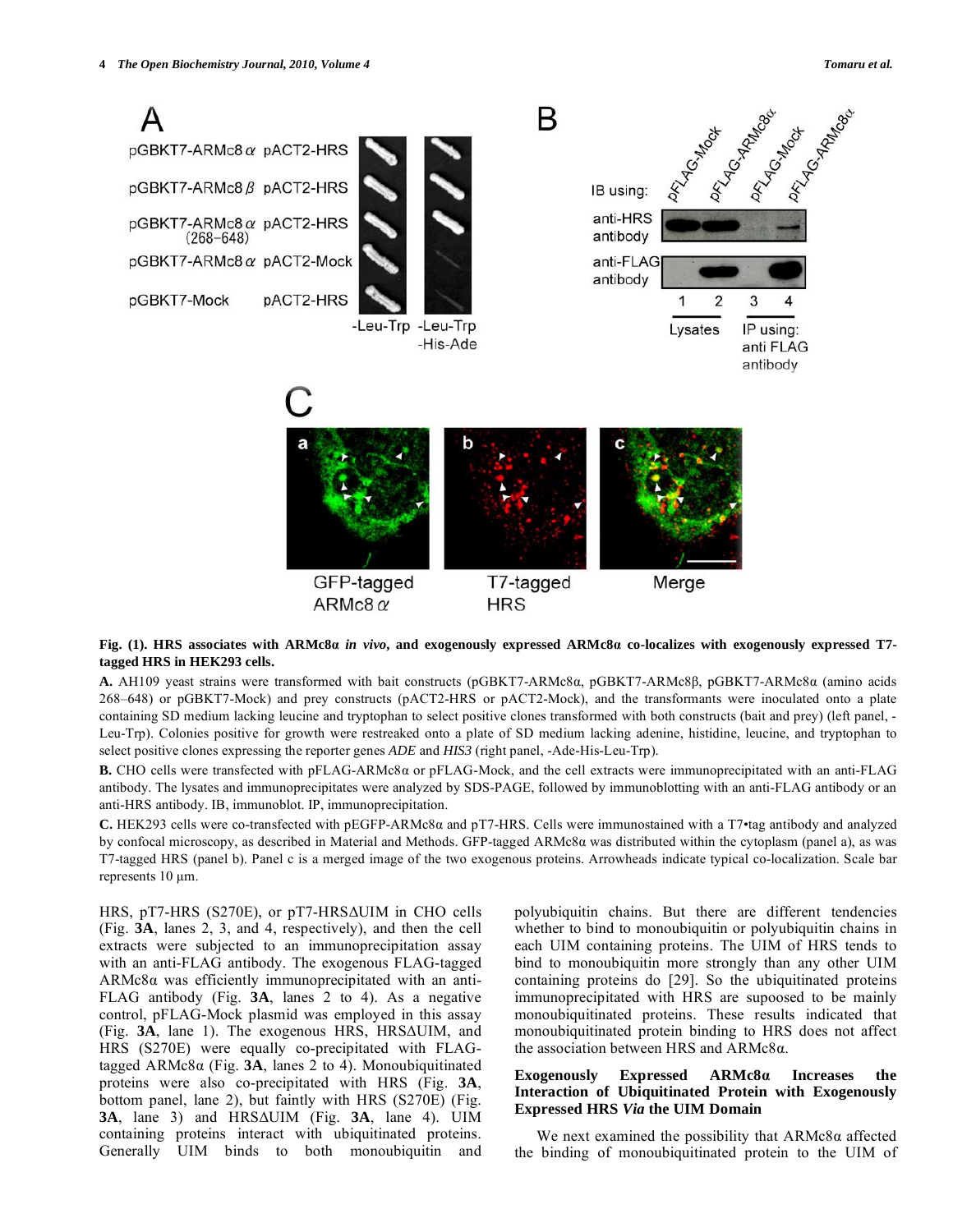

# **Fig. (1). HRS associates with ARMc8** *in vivo***, and exogenously expressed ARMc8 co-localizes with exogenously expressed T7 tagged HRS in HEK293 cells.**

A. AH109 yeast strains were transformed with bait constructs (pGBKT7-ARMc8a, pGBKT7-ARMc8B, pGBKT7-ARMc8a (amino acids 268–648) or pGBKT7-Mock) and prey constructs (pACT2-HRS or pACT2-Mock), and the transformants were inoculated onto a plate containing SD medium lacking leucine and tryptophan to select positive clones transformed with both constructs (bait and prey) (left panel, - Leu-Trp). Colonies positive for growth were restreaked onto a plate of SD medium lacking adenine, histidine, leucine, and tryptophan to select positive clones expressing the reporter genes *ADE* and *HIS3* (right panel, -Ade-His-Leu-Trp).

**B.** CHO cells were transfected with pFLAG-ARMc8 or pFLAG-Mock, and the cell extracts were immunoprecipitated with an anti-FLAG antibody. The lysates and immunoprecipitates were analyzed by SDS-PAGE, followed by immunoblotting with an anti-FLAG antibody or an anti-HRS antibody. IB, immunoblot. IP, immunoprecipitation.

**C.** HEK293 cells were co-transfected with pEGFP-ARMc8 and pT7-HRS. Cells were immunostained with a T7•tag antibody and analyzed by confocal microscopy, as described in Material and Methods. GFP-tagged ARMc8 $\alpha$  was distributed within the cytoplasm (panel a), as was T7-tagged HRS (panel b). Panel c is a merged image of the two exogenous proteins. Arrowheads indicate typical co-localization. Scale bar represents 10 μm.

HRS,  $pT7-HRS$  (S270E), or  $pT7-HRS\Delta UIM$  in CHO cells (Fig. **3A**, lanes 2, 3, and 4, respectively), and then the cell extracts were subjected to an immunoprecipitation assay with an anti-FLAG antibody. The exogenous FLAG-tagged  $ARMc8\alpha$  was efficiently immunoprecipitated with an anti-FLAG antibody (Fig. **3A**, lanes 2 to 4). As a negative control, pFLAG-Mock plasmid was employed in this assay  $(Fig. 3A, \text{lane } 1)$ . The exogenous HRS, HRS $\Delta$ UIM, and HRS (S270E) were equally co-precipitated with FLAGtagged  $ARMc8\alpha$  (Fig. 3A, lanes 2 to 4). Monoubiquitinated proteins were also co-precipitated with HRS (Fig. **3A**, bottom panel, lane 2), but faintly with HRS (S270E) (Fig. **3A**, lane 3) and HRS-UIM (Fig. **3A**, lane 4). UIM containing proteins interact with ubiquitinated proteins. Generally UIM binds to both monoubiquitin and

polyubiquitin chains. But there are different tendencies whether to bind to monoubiquitin or polyubiquitin chains in each UIM containing proteins. The UIM of HRS tends to bind to monoubiquitin more strongly than any other UIM containing proteins do [29]. So the ubiquitinated proteins immunoprecipitated with HRS are supoosed to be mainly monoubiquitinated proteins. These results indicated that monoubiquitinated protein binding to HRS does not affect the association between HRS and  $ARMc8\alpha$ .

# Exogenously Expressed ARMc8a Increases the **Interaction of Ubiquitinated Protein with Exogenously Expressed HRS** *Via* **the UIM Domain**

We next examined the possibility that  $ARMc8\alpha$  affected the binding of monoubiquitinated protein to the UIM of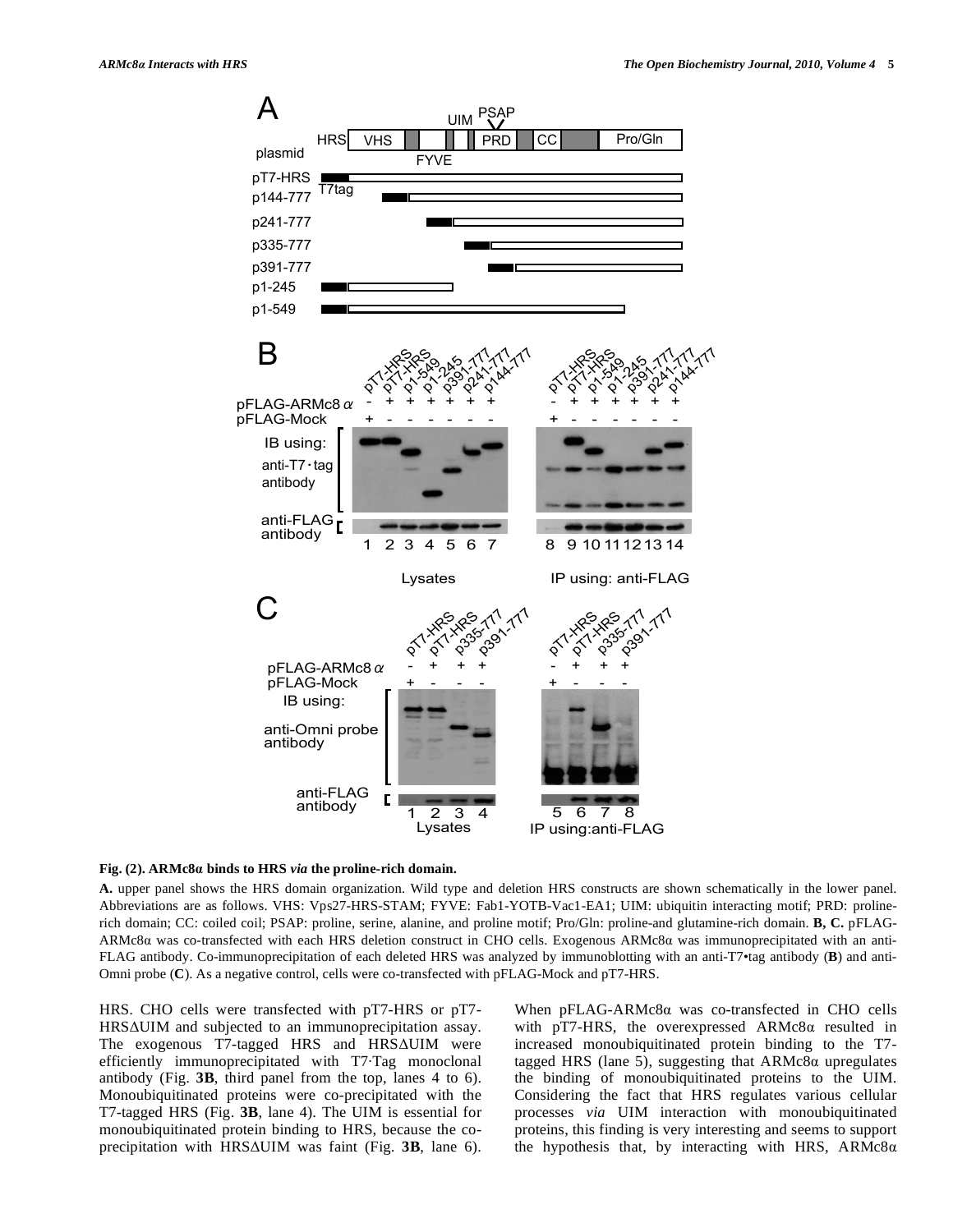

# **Fig. (2). ARMc8 binds to HRS** *via* **the proline-rich domain.**

**A.** upper panel shows the HRS domain organization. Wild type and deletion HRS constructs are shown schematically in the lower panel. Abbreviations are as follows. VHS: Vps27-HRS-STAM; FYVE: Fab1-YOTB-Vac1-EA1; UIM: ubiquitin interacting motif; PRD: prolinerich domain; CC: coiled coil; PSAP: proline, serine, alanine, and proline motif; Pro/Gln: proline-and glutamine-rich domain. **B, C.** pFLAG- $ARMc8\alpha$  was co-transfected with each HRS deletion construct in CHO cells. Exogenous  $ARMc8\alpha$  was immunoprecipitated with an anti-FLAG antibody. Co-immunoprecipitation of each deleted HRS was analyzed by immunoblotting with an anti-T7•tag antibody (**B**) and anti-Omni probe (**C**). As a negative control, cells were co-transfected with pFLAG-Mock and pT7-HRS.

HRS. CHO cells were transfected with pT7-HRS or pT7- HRSAUIM and subjected to an immunoprecipitation assay. The exogenous T7-tagged HRS and HRSAUIM were efficiently immunoprecipitated with T7·Tag monoclonal antibody (Fig. **3B**, third panel from the top, lanes 4 to 6). Monoubiquitinated proteins were co-precipitated with the T7-tagged HRS (Fig. **3B**, lane 4). The UIM is essential for monoubiquitinated protein binding to HRS, because the coprecipitation with HRS $\Delta$ UIM was faint (Fig. 3B, lane 6). When  $pFLAG-ARMc8\alpha$  was co-transfected in CHO cells with pT7-HRS, the overexpressed  $ARMc8\alpha$  resulted in increased monoubiquitinated protein binding to the T7 tagged HRS (lane 5), suggesting that  $ARMc8\alpha$  upregulates the binding of monoubiquitinated proteins to the UIM. Considering the fact that HRS regulates various cellular processes *via* UIM interaction with monoubiquitinated proteins, this finding is very interesting and seems to support the hypothesis that, by interacting with HRS,  $ARMc8\alpha$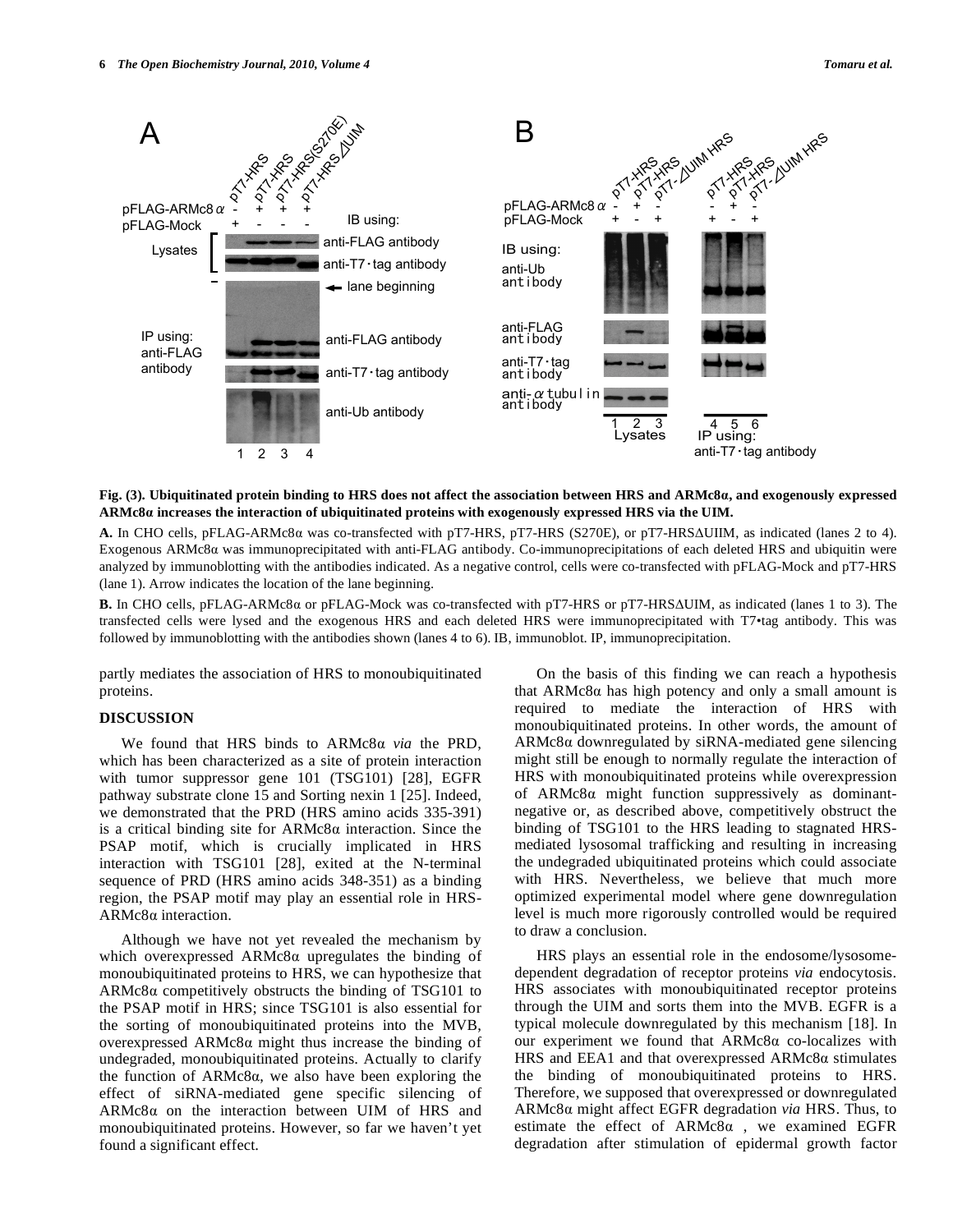

# **Fig. (3). Ubiquitinated protein binding to HRS does not affect the association between HRS and ARMc8, and exogenously expressed ARMc8 increases the interaction of ubiquitinated proteins with exogenously expressed HRS via the UIM.**

A. In CHO cells, pFLAG-ARMc8a was co-transfected with pT7-HRS, pT7-HRS (S270E), or pT7-HRS $\Delta$ UIIM, as indicated (lanes 2 to 4). Exogenous ARMc8α was immunoprecipitated with anti-FLAG antibody. Co-immunoprecipitations of each deleted HRS and ubiquitin were analyzed by immunoblotting with the antibodies indicated. As a negative control, cells were co-transfected with pFLAG-Mock and pT7-HRS (lane 1). Arrow indicates the location of the lane beginning.

**B.** In CHO cells, pFLAG-ARMc8α or pFLAG-Mock was co-transfected with pT7-HRS or pT7-HRSΔUIM, as indicated (lanes 1 to 3). The transfected cells were lysed and the exogenous HRS and each deleted HRS were immunoprecipitated with T7•tag antibody. This was followed by immunoblotting with the antibodies shown (lanes 4 to 6). IB, immunoblot. IP, immunoprecipitation.

partly mediates the association of HRS to monoubiquitinated proteins.

# **DISCUSSION**

We found that HRS binds to ARMc8a via the PRD, which has been characterized as a site of protein interaction with tumor suppressor gene 101 (TSG101) [28], EGFR pathway substrate clone 15 and Sorting nexin 1 [25]. Indeed, we demonstrated that the PRD (HRS amino acids 335-391) is a critical binding site for  $ARMc8\alpha$  interaction. Since the PSAP motif, which is crucially implicated in HRS interaction with TSG101 [28], exited at the N-terminal sequence of PRD (HRS amino acids 348-351) as a binding region, the PSAP motif may play an essential role in HRS- $ARMc8\alpha$  interaction.

 Although we have not yet revealed the mechanism by which overexpressed  $ARMc8\alpha$  upregulates the binding of monoubiquitinated proteins to HRS, we can hypothesize that  $ARMc8\alpha$  competitively obstructs the binding of TSG101 to the PSAP motif in HRS; since TSG101 is also essential for the sorting of monoubiquitinated proteins into the MVB, overexpressed  $ARMc8\alpha$  might thus increase the binding of undegraded, monoubiquitinated proteins. Actually to clarify the function of  $ARMc8\alpha$ , we also have been exploring the effect of siRNA-mediated gene specific silencing of  $ARMc8\alpha$  on the interaction between UIM of HRS and monoubiquitinated proteins. However, so far we haven't yet found a significant effect.

 On the basis of this finding we can reach a hypothesis that  $ARMc8\alpha$  has high potency and only a small amount is required to mediate the interaction of HRS with monoubiquitinated proteins. In other words, the amount of  $ARMc8\alpha$  downregulated by siRNA-mediated gene silencing might still be enough to normally regulate the interaction of HRS with monoubiquitinated proteins while overexpression of  $ARMc8\alpha$  might function suppressively as dominantnegative or, as described above, competitively obstruct the binding of TSG101 to the HRS leading to stagnated HRSmediated lysosomal trafficking and resulting in increasing the undegraded ubiquitinated proteins which could associate with HRS. Nevertheless, we believe that much more optimized experimental model where gene downregulation level is much more rigorously controlled would be required to draw a conclusion.

 HRS plays an essential role in the endosome/lysosomedependent degradation of receptor proteins *via* endocytosis. HRS associates with monoubiquitinated receptor proteins through the UIM and sorts them into the MVB. EGFR is a typical molecule downregulated by this mechanism [18]. In our experiment we found that  $ARMc8\alpha$  co-localizes with HRS and EEA1 and that overexpressed  $ARMc8\alpha$  stimulates the binding of monoubiquitinated proteins to HRS. Therefore, we supposed that overexpressed or downregulated ARMc8 might affect EGFR degradation *via* HRS. Thus, to estimate the effect of  $ARMc8\alpha$ , we examined EGFR degradation after stimulation of epidermal growth factor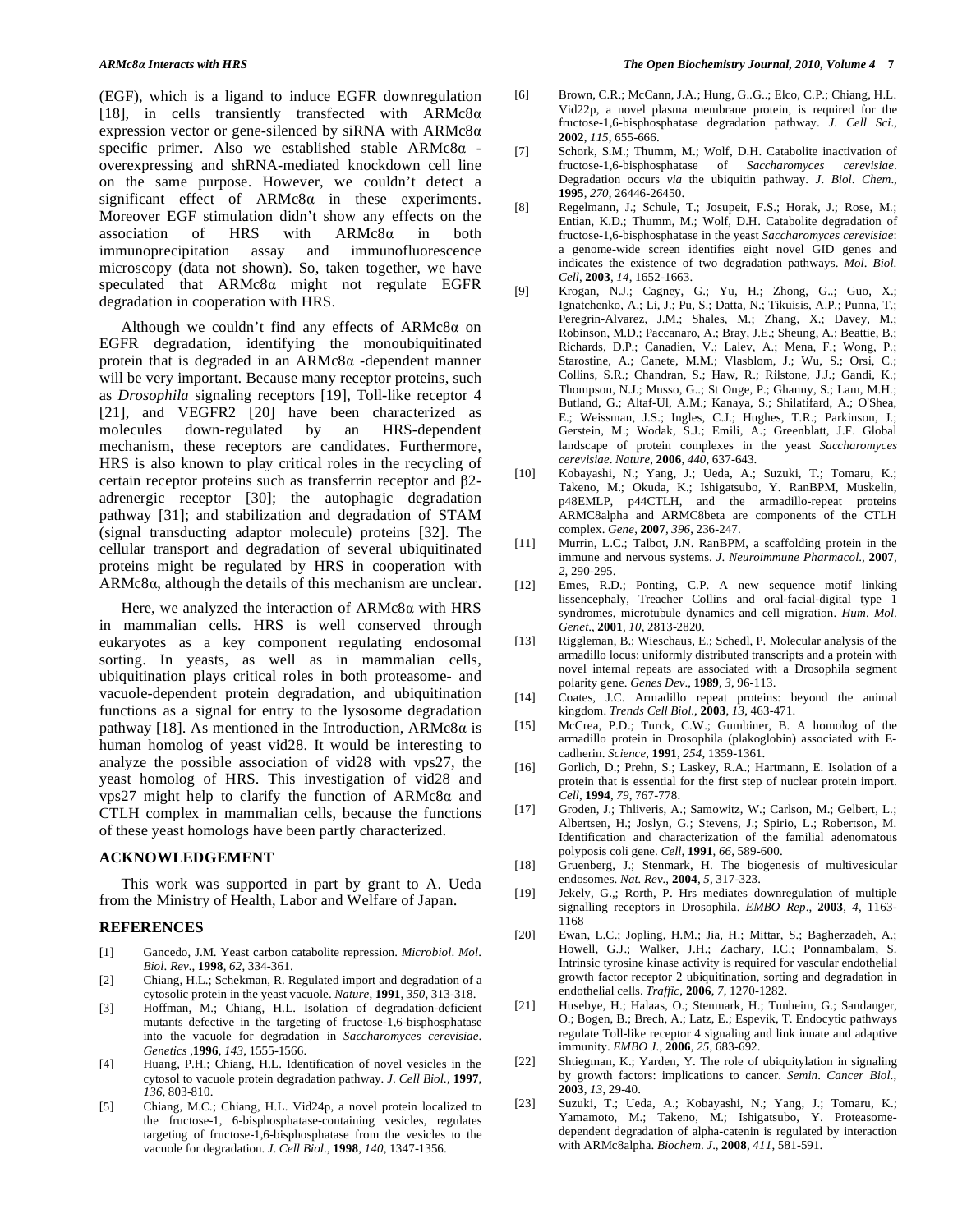(EGF), which is a ligand to induce EGFR downregulation [18], in cells transiently transfected with  $ARMc8\alpha$ expression vector or gene-silenced by siRNA with  $ARMc8\alpha$ specific primer. Also we established stable  $ARMc8\alpha$  overexpressing and shRNA-mediated knockdown cell line on the same purpose. However, we couldn't detect a significant effect of  $ARMc8\alpha$  in these experiments. Moreover EGF stimulation didn't show any effects on the association of HRS with  $ARMc8\alpha$  in both immunoprecipitation assay and immunofluorescence microscopy (data not shown). So, taken together, we have speculated that  $ARMc8\alpha$  might not regulate EGFR degradation in cooperation with HRS.

Although we couldn't find any effects of  $ARMc8\alpha$  on EGFR degradation, identifying the monoubiquitinated protein that is degraded in an  $ARMc8\alpha$  -dependent manner will be very important. Because many receptor proteins, such as *Drosophila* signaling receptors [19], Toll-like receptor 4 [21], and VEGFR2 [20] have been characterized as molecules down-regulated by an HRS-dependent mechanism, these receptors are candidates. Furthermore, HRS is also known to play critical roles in the recycling of certain receptor proteins such as transferrin receptor and  $\beta$ 2adrenergic receptor [30]; the autophagic degradation pathway [31]; and stabilization and degradation of STAM (signal transducting adaptor molecule) proteins [32]. The cellular transport and degradation of several ubiquitinated proteins might be regulated by HRS in cooperation with  $ARMc8\alpha$ , although the details of this mechanism are unclear.

Here, we analyzed the interaction of  $ARMc8\alpha$  with HRS in mammalian cells. HRS is well conserved through eukaryotes as a key component regulating endosomal sorting. In yeasts, as well as in mammalian cells, ubiquitination plays critical roles in both proteasome- and vacuole-dependent protein degradation, and ubiquitination functions as a signal for entry to the lysosome degradation pathway [18]. As mentioned in the Introduction,  $ARMc8\alpha$  is human homolog of yeast vid28. It would be interesting to analyze the possible association of vid28 with vps27, the yeast homolog of HRS. This investigation of vid28 and vps27 might help to clarify the function of  $ARMc8\alpha$  and CTLH complex in mammalian cells, because the functions of these yeast homologs have been partly characterized.

## **ACKNOWLEDGEMENT**

 This work was supported in part by grant to A. Ueda from the Ministry of Health, Labor and Welfare of Japan.

#### **REFERENCES**

- [1] Gancedo, J.M. Yeast carbon catabolite repression. *Microbiol*. *Mol*. *Biol*. *Rev.*, **1998**, *62*, 334-361.
- [2] Chiang, H.L.; Schekman, R. Regulated import and degradation of a cytosolic protein in the yeast vacuole. *Nature*, **1991**, *350*, 313-318.
- [3] Hoffman, M.; Chiang, H.L. Isolation of degradation-deficient mutants defective in the targeting of fructose-1,6-bisphosphatase into the vacuole for degradation in *Saccharomyces cerevisiae*. *Genetics ,***1996**, *143*, 1555-1566.
- [4] Huang, P.H.; Chiang, H.L. Identification of novel vesicles in the cytosol to vacuole protein degradation pathway. *J*. *Cell Biol*., **1997**, *136*, 803-810.
- [5] Chiang, M.C.; Chiang, H.L. Vid24p, a novel protein localized to the fructose-1, 6-bisphosphatase-containing vesicles, regulates targeting of fructose-1,6-bisphosphatase from the vesicles to the vacuole for degradation. *J*. *Cell Biol*., **1998**, *140*, 1347-1356.
- [6] Brown, C.R.; McCann, J.A.; Hung, G..G..; Elco, C.P.; Chiang, H.L. Vid22p, a novel plasma membrane protein, is required for the fructose-1,6-bisphosphatase degradation pathway. *J*. *Cell Sci*., **2002**, *115,* 655-666.
- [7] Schork, S.M.; Thumm, M.; Wolf, D.H. Catabolite inactivation of fructose-1,6-bisphosphatase of *Saccharomyces cerevisiae*. Degradation occurs *via* the ubiquitin pathway. *J*. *Biol*. *Chem*., **1995**, *270*, 26446-26450.
- [8] Regelmann, J.; Schule, T.; Josupeit, F.S.; Horak, J.; Rose, M.; Entian, K.D.; Thumm, M.; Wolf, D.H. Catabolite degradation of fructose-1,6-bisphosphatase in the yeast *Saccharomyces cerevisiae*: a genome-wide screen identifies eight novel GID genes and indicates the existence of two degradation pathways. *Mol*. *Biol*. *Cell*, **2003**, *14*, 1652-1663.
- [9] Krogan, N.J.; Cagney, G.; Yu, H.; Zhong, G..; Guo, X.; Ignatchenko, A.; Li, J.; Pu, S.; Datta, N.; Tikuisis, A.P.; Punna, T.; Peregrin-Alvarez, J.M.; Shales, M.; Zhang, X.; Davey, M.; Robinson, M.D.; Paccanaro, A.; Bray, J.E.; Sheung, A.; Beattie, B.; Richards, D.P.; Canadien, V.; Lalev, A.; Mena, F.; Wong, P.; Starostine, A.; Canete, M.M.; Vlasblom, J.; Wu, S.; Orsi, C.; Collins, S.R.; Chandran, S.; Haw, R.; Rilstone, J.J.; Gandi, K.; Thompson, N.J.; Musso, G..; St Onge, P.; Ghanny, S.; Lam, M.H.; Butland, G.; Altaf-Ul, A.M.; Kanaya, S.; Shilatifard, A.; O'Shea, E.; Weissman, J.S.; Ingles, C.J.; Hughes, T.R.; Parkinson, J.; Gerstein, M.; Wodak, S.J.; Emili, A.; Greenblatt, J.F. Global landscape of protein complexes in the yeast *Saccharomyces cerevisiae*. *Nature*, **2006**, *440*, 637-643.
- [10] Kobayashi, N.; Yang, J.; Ueda, A.; Suzuki, T.; Tomaru, K.; Takeno, M.; Okuda, K.; Ishigatsubo, Y. RanBPM, Muskelin, p48EMLP, p44CTLH, and the armadillo-repeat proteins ARMC8alpha and ARMC8beta are components of the CTLH complex. *Gene*, **2007**, *396*, 236-247.
- [11] Murrin, L.C.; Talbot, J.N. RanBPM, a scaffolding protein in the immune and nervous systems. *J*. *Neuroimmune Pharmacol*., **2007**, *2*, 290-295.
- [12] Emes, R.D.; Ponting, C.P. A new sequence motif linking lissencephaly, Treacher Collins and oral-facial-digital type 1 syndromes, microtubule dynamics and cell migration. *Hum*. *Mol*. *Genet*., **2001**, *10*, 2813-2820.
- [13] Riggleman, B.; Wieschaus, E.; Schedl, P. Molecular analysis of the armadillo locus: uniformly distributed transcripts and a protein with novel internal repeats are associated with a Drosophila segment polarity gene. *Genes Dev*., **1989**, *3*, 96-113.
- [14] Coates, J.C. Armadillo repeat proteins: beyond the animal kingdom. *Trends Cell Biol*., **2003**, *13*, 463-471.
- [15] McCrea, P.D.; Turck, C.W.; Gumbiner, B. A homolog of the armadillo protein in Drosophila (plakoglobin) associated with Ecadherin. *Science*, **1991**, *254*, 1359-1361.
- [16] Gorlich, D.; Prehn, S.; Laskey, R.A.; Hartmann, E. Isolation of a protein that is essential for the first step of nuclear protein import. *Cell*, **1994**, *79*, 767-778.
- [17] Groden, J.; Thliveris, A.; Samowitz, W.; Carlson, M.; Gelbert, L.; Albertsen, H.; Joslyn, G.; Stevens, J.; Spirio, L.; Robertson, M. Identification and characterization of the familial adenomatous polyposis coli gene. *Cell*, **1991**, *66*, 589-600.
- [18] Gruenberg, J.; Stenmark, H. The biogenesis of multivesicular endosomes. *Nat. Rev.*, **2004**, *5*, 317-323.
- [19] Jekely, G.,; Rorth, P. Hrs mediates downregulation of multiple signalling receptors in Drosophila. *EMBO Rep*., **2003**, *4*, 1163- 1168
- [20] Ewan, L.C.; Jopling, H.M.; Jia, H.; Mittar, S.; Bagherzadeh, A.; Howell, G.J.; Walker, J.H.; Zachary, I.C.; Ponnambalam, S. Intrinsic tyrosine kinase activity is required for vascular endothelial growth factor receptor 2 ubiquitination, sorting and degradation in endothelial cells. *Traffic*, **2006**, *7*, 1270-1282.
- [21] Husebye, H.; Halaas, O.; Stenmark, H.; Tunheim, G.; Sandanger, O.; Bogen, B.; Brech, A.; Latz, E.; Espevik, T. Endocytic pathways regulate Toll-like receptor 4 signaling and link innate and adaptive immunity. *EMBO J*., **2006**, *25*, 683-692.
- [22] Shtiegman, K.; Yarden, Y. The role of ubiquitylation in signaling by growth factors: implications to cancer. *Semin*. *Cancer Biol*., **2003**, *13*, 29-40.
- [23] Suzuki, T.; Ueda, A.; Kobayashi, N.; Yang, J.; Tomaru, K.; Yamamoto, M.; Takeno, M.; Ishigatsubo, Y. Proteasomedependent degradation of alpha-catenin is regulated by interaction with ARMc8alpha. *Biochem*. *J*., **2008**, *411*, 581-591.